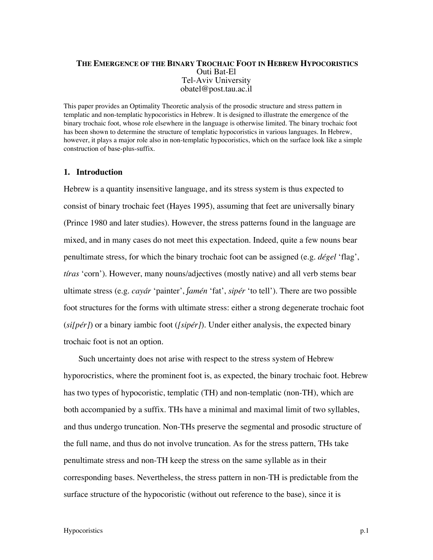# **THE EMERGENCE OF THE BINARY TROCHAIC FOOT IN HEBREW HYPOCORISTICS** Outi Bat-El Tel-Aviv University obatel@post.tau.ac.il

This paper provides an Optimality Theoretic analysis of the prosodic structure and stress pattern in templatic and non-templatic hypocoristics in Hebrew. It is designed to illustrate the emergence of the binary trochaic foot, whose role elsewhere in the language is otherwise limited. The binary trochaic foot has been shown to determine the structure of templatic hypocoristics in various languages. In Hebrew, however, it plays a major role also in non-templatic hypocoristics, which on the surface look like a simple construction of base-plus-suffix.

### **1. Introduction**

Hebrew is a quantity insensitive language, and its stress system is thus expected to consist of binary trochaic feet (Hayes 1995), assuming that feet are universally binary (Prince 1980 and later studies). However, the stress patterns found in the language are mixed, and in many cases do not meet this expectation. Indeed, quite a few nouns bear penultimate stress, for which the binary trochaic foot can be assigned (e.g. *dégel* 'flag', *tíras* 'corn'). However, many nouns/adjectives (mostly native) and all verb stems bear ultimate stress (e.g. *cayár* 'painter', *∫amén* 'fat', *sipér* 'to tell'). There are two possible foot structures for the forms with ultimate stress: either a strong degenerate trochaic foot (*si[pér]*) or a binary iambic foot (*[sipér]*). Under either analysis, the expected binary trochaic foot is not an option.

 Such uncertainty does not arise with respect to the stress system of Hebrew hyporocristics, where the prominent foot is, as expected, the binary trochaic foot. Hebrew has two types of hypocoristic, templatic (TH) and non-templatic (non-TH), which are both accompanied by a suffix. THs have a minimal and maximal limit of two syllables, and thus undergo truncation. Non-THs preserve the segmental and prosodic structure of the full name, and thus do not involve truncation. As for the stress pattern, THs take penultimate stress and non-TH keep the stress on the same syllable as in their corresponding bases. Nevertheless, the stress pattern in non-TH is predictable from the surface structure of the hypocoristic (without out reference to the base), since it is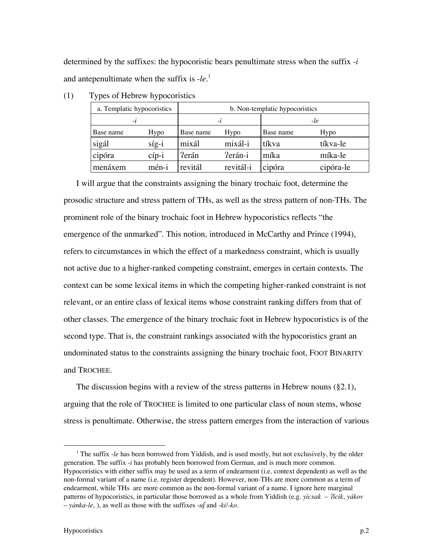determined by the suffixes: the hypocoristic bears penultimate stress when the suffix -*i* and antepenultimate when the suffix is -*le*. 1

| a. Templatic hypocoristics |          | b. Non-templatic hypocoristics |           |           |           |
|----------------------------|----------|--------------------------------|-----------|-----------|-----------|
| $-l$                       |          | -le<br>$-l$                    |           |           |           |
| Base name                  | Hypo     | Base name                      | Hypo      | Base name | Hypo      |
| sigál                      | $s$ íg-i | mixál                          | mixál-i   | tíkva     | tíkva-le  |
| cipóra                     | $c$ íp-i | Perán                          | Perán-i   | míka      | míka-le   |
| menáxem                    | mén-i    | revitál                        | revitál-i | cipóra    | cipóra-le |

(1) Types of Hebrew hypocoristics

I will argue that the constraints assigning the binary trochaic foot, determine the prosodic structure and stress pattern of THs, as well as the stress pattern of non-THs. The prominent role of the binary trochaic foot in Hebrew hypocoristics reflects "the emergence of the unmarked". This notion, introduced in McCarthy and Prince (1994), refers to circumstances in which the effect of a markedness constraint, which is usually not active due to a higher-ranked competing constraint, emerges in certain contexts. The context can be some lexical items in which the competing higher-ranked constraint is not relevant, or an entire class of lexical items whose constraint ranking differs from that of other classes. The emergence of the binary trochaic foot in Hebrew hypocoristics is of the second type. That is, the constraint rankings associated with the hypocoristics grant an undominated status to the constraints assigning the binary trochaic foot, FOOT BINARITY and TROCHEE.

The discussion begins with a review of the stress patterns in Hebrew nouns (§2.1), arguing that the role of TROCHEE is limited to one particular class of noun stems, whose stress is penultimate. Otherwise, the stress pattern emerges from the interaction of various

 $\overline{\phantom{a}}$ <sup>1</sup> The suffix -*le* has been borrowed from Yiddish, and is used mostly, but not exclusively, by the older generation. The suffix -*i* has probably been borrowed from German, and is much more common. Hypocoristics with either suffix may be used as a term of endearment (i.e. context dependent) as well as the non-formal variant of a name (i.e. register dependent). However, non-THs are more common as a term of endearment, while THs are more common as the non-formal variant of a name. I ignore here marginal patterns of hypocoristics, in particular those borrowed as a whole from Yiddish (e.g. *yícxak* – /*ícik*, *yákov* – *yánka-le*, ), as well as those with the suffixes -*u∫* and -*ki*/-*ko*.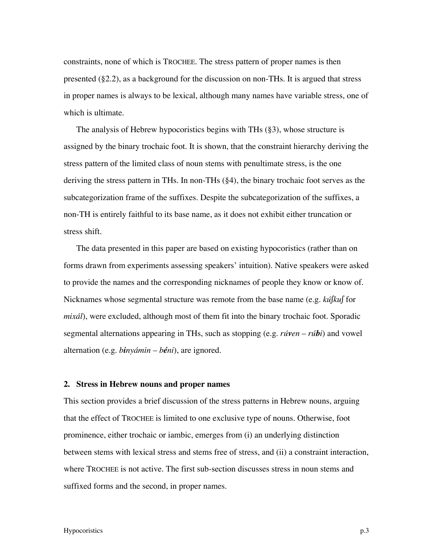constraints, none of which is TROCHEE. The stress pattern of proper names is then presented (§2.2), as a background for the discussion on non-THs. It is argued that stress in proper names is always to be lexical, although many names have variable stress, one of which is ultimate.

The analysis of Hebrew hypocoristics begins with THs (§3), whose structure is assigned by the binary trochaic foot. It is shown, that the constraint hierarchy deriving the stress pattern of the limited class of noun stems with penultimate stress, is the one deriving the stress pattern in THs. In non-THs (§4), the binary trochaic foot serves as the subcategorization frame of the suffixes. Despite the subcategorization of the suffixes, a non-TH is entirely faithful to its base name, as it does not exhibit either truncation or stress shift.

The data presented in this paper are based on existing hypocoristics (rather than on forms drawn from experiments assessing speakers' intuition). Native speakers were asked to provide the names and the corresponding nicknames of people they know or know of. Nicknames whose segmental structure was remote from the base name (e.g. *kú∫ku∫* for *mixál*), were excluded, although most of them fit into the binary trochaic foot. Sporadic segmental alternations appearing in THs, such as stopping (e.g. *rúven* – *rúbi*) and vowel alternation (e.g. *binyámin* – *béni*), are ignored.

#### **2. Stress in Hebrew nouns and proper names**

This section provides a brief discussion of the stress patterns in Hebrew nouns, arguing that the effect of TROCHEE is limited to one exclusive type of nouns. Otherwise, foot prominence, either trochaic or iambic, emerges from (i) an underlying distinction between stems with lexical stress and stems free of stress, and (ii) a constraint interaction, where TROCHEE is not active. The first sub-section discusses stress in noun stems and suffixed forms and the second, in proper names.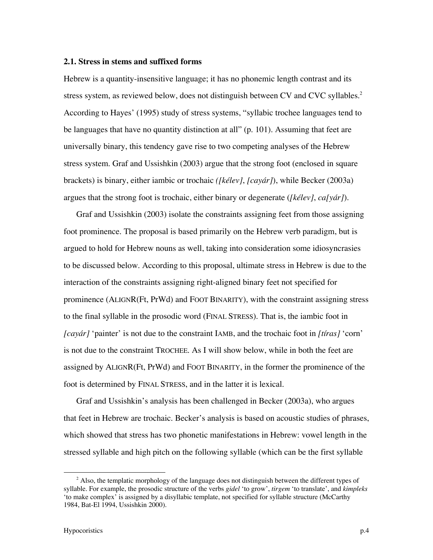## **2.1. Stress in stems and suffixed forms**

Hebrew is a quantity-insensitive language; it has no phonemic length contrast and its stress system, as reviewed below, does not distinguish between CV and CVC syllables.<sup>2</sup> According to Hayes' (1995) study of stress systems, "syllabic trochee languages tend to be languages that have no quantity distinction at all" (p. 101). Assuming that feet are universally binary, this tendency gave rise to two competing analyses of the Hebrew stress system. Graf and Ussishkin (2003) argue that the strong foot (enclosed in square brackets) is binary, either iambic or trochaic *([kélev]*, *[cayár]*), while Becker (2003a) argues that the strong foot is trochaic, either binary or degenerate (*[kélev]*, *ca[yár]*).

Graf and Ussishkin (2003) isolate the constraints assigning feet from those assigning foot prominence. The proposal is based primarily on the Hebrew verb paradigm, but is argued to hold for Hebrew nouns as well, taking into consideration some idiosyncrasies to be discussed below. According to this proposal, ultimate stress in Hebrew is due to the interaction of the constraints assigning right-aligned binary feet not specified for prominence (ALIGNR(Ft, PrWd) and FOOT BINARITY), with the constraint assigning stress to the final syllable in the prosodic word (FINAL STRESS). That is, the iambic foot in *[cayár]* 'painter' is not due to the constraint IAMB, and the trochaic foot in *[tíras]* 'corn' is not due to the constraint TROCHEE. As I will show below, while in both the feet are assigned by ALIGNR(Ft, PrWd) and FOOT BINARITY, in the former the prominence of the foot is determined by FINAL STRESS, and in the latter it is lexical.

Graf and Ussishkin's analysis has been challenged in Becker (2003a), who argues that feet in Hebrew are trochaic. Becker's analysis is based on acoustic studies of phrases, which showed that stress has two phonetic manifestations in Hebrew: vowel length in the stressed syllable and high pitch on the following syllable (which can be the first syllable

 $\overline{a}$  $^2$  Also, the templatic morphology of the language does not distinguish between the different types of syllable. For example, the prosodic structure of the verbs *gidel* 'to grow', *tirgem* 'to translate', and *kimpleks* 'to make complex' is assigned by a disyllabic template, not specified for syllable structure (McCarthy 1984, Bat-El 1994, Ussishkin 2000).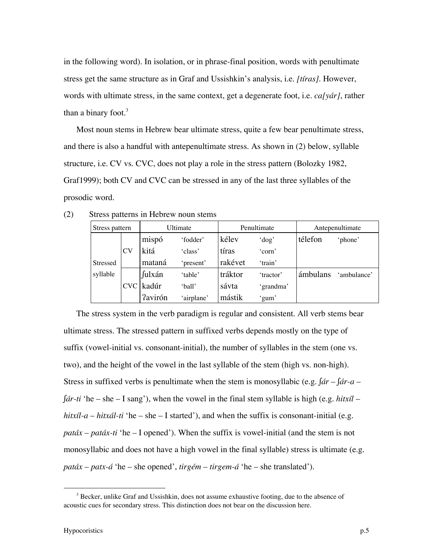in the following word). In isolation, or in phrase-final position, words with penultimate stress get the same structure as in Graf and Ussishkin's analysis, i.e. *[tíras]*. However, words with ultimate stress, in the same context, get a degenerate foot, i.e. *ca[yár]*, rather than a binary foot. $3$ 

Most noun stems in Hebrew bear ultimate stress, quite a few bear penultimate stress, and there is also a handful with antepenultimate stress. As shown in (2) below, syllable structure, i.e. CV vs. CVC, does not play a role in the stress pattern (Bolozky 1982, Graf1999); both CV and CVC can be stressed in any of the last three syllables of the prosodic word.

| Stress pattern  |           | Ultimate       |            | Penultimate |           | Antepenultimate |             |
|-----------------|-----------|----------------|------------|-------------|-----------|-----------------|-------------|
|                 |           | mispó          | 'fodder'   | kélev       | 'dog'     | télefon         | 'phone'     |
|                 | <b>CV</b> | kitá           | 'class'    | tíras       | 'corn'    |                 |             |
| <b>Stressed</b> |           | mataná         | 'present'  | rakévet     | 'train'   |                 |             |
| syllable        |           | fulxán         | 'table'    | tráktor     | 'tractor' | ámbulans        | 'ambulance' |
|                 |           | CVC kadúr      | 'ball'     | sávta       | 'grandma' |                 |             |
|                 |           | <b>Tavirón</b> | 'airplane' | mástik      | 'gum'     |                 |             |

The stress system in the verb paradigm is regular and consistent. All verb stems bear ultimate stress. The stressed pattern in suffixed verbs depends mostly on the type of suffix (vowel-initial vs. consonant-initial), the number of syllables in the stem (one vs. two), and the height of the vowel in the last syllable of the stem (high vs. non-high). Stress in suffixed verbs is penultimate when the stem is monosyllabic (e.g. *∫ár* – *∫ár-a* – *∫ár-ti* 'he – she – I sang'), when the vowel in the final stem syllable is high (e.g. *hitxíl* – *hitxíl-a* – *hitxál-ti* 'he – she – I started'), and when the suffix is consonant-initial (e.g. *patáx* – *patáx*-ti 'he – I opened'). When the suffix is vowel-initial (and the stem is not monosyllabic and does not have a high vowel in the final syllable) stress is ultimate (e.g. *patáx* – *patx-á* 'he – she opened', *tirgém* – *tirgem-á* 'he – she translated').

 <sup>3</sup> <sup>3</sup> Becker, unlike Graf and Ussishkin, does not assume exhaustive footing, due to the absence of acoustic cues for secondary stress. This distinction does not bear on the discussion here.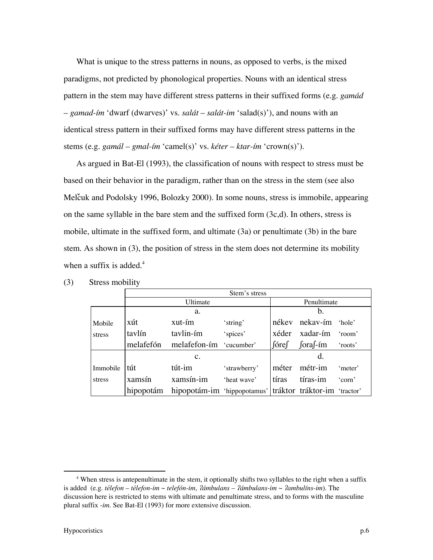What is unique to the stress patterns in nouns, as opposed to verbs, is the mixed paradigms, not predicted by phonological properties. Nouns with an identical stress pattern in the stem may have different stress patterns in their suffixed forms (e.g. *gamád* – *gamad-ím* 'dwarf (dwarves)' vs. *salát* – *salát-im* 'salad(s)'), and nouns with an identical stress pattern in their suffixed forms may have different stress patterns in the stems (e.g. *gamál* – *gmal-ím* 'camel(s)' vs. *kéter* – *ktar-ím* 'crown(s)').

As argued in Bat-El (1993), the classification of nouns with respect to stress must be based on their behavior in the paradigm, rather than on the stress in the stem (see also Melcuk and Podolsky 1996, Bolozky 2000). In some nouns, stress is immobile, appearing on the same syllable in the bare stem and the suffixed form  $(3c,d)$ . In others, stress is mobile, ultimate in the suffixed form, and ultimate (3a) or penultimate (3b) in the bare stem. As shown in (3), the position of stress in the stem does not determine its mobility when a suffix is added. $4$ 

|          | Stem's stress |                                                                    |              |             |                       |         |  |  |
|----------|---------------|--------------------------------------------------------------------|--------------|-------------|-----------------------|---------|--|--|
|          |               | Ultimate                                                           |              | Penultimate |                       |         |  |  |
|          |               | a.                                                                 |              |             | b.                    |         |  |  |
| Mobile   | xút           | xut-ím                                                             | 'string'     |             | nékev nekav-ím 'hole' |         |  |  |
| stress   | tavlín        | tavlin-ím                                                          | 'spices'     |             | xéder xadar-ím 'room' |         |  |  |
|          | melafefón     | melafefon-ím 'cucumber'                                            |              |             | ∫óre∫ ∫ora∫-ím        | 'roots' |  |  |
|          |               | $\mathbf{c}$ .                                                     |              |             |                       |         |  |  |
| Immobile | tút           | tút-im                                                             | 'strawberry' |             | méter métr-im         | 'meter' |  |  |
| stress   | xamsín        | xamsín-im                                                          | 'heat wave'  |             | tíras tíras-im        | 'corn'  |  |  |
|          |               | hipopotám hipopotám-im 'hippopotamus' tráktor tráktor-im 'tractor' |              |             |                       |         |  |  |

(3) Stress mobility

 $\overline{a}$  When stress is antepenultimate in the stem, it optionally shifts two syllables to the right when a suffix is added (e.g. *télefon* – *télefon-im* ~ *telefón-im*, /*ámbulans* – /*ámbulans-im* ~ /*ambulíns-im*). The discussion here is restricted to stems with ultimate and penultimate stress, and to forms with the masculine plural suffix -*im*. See Bat-El (1993) for more extensive discussion.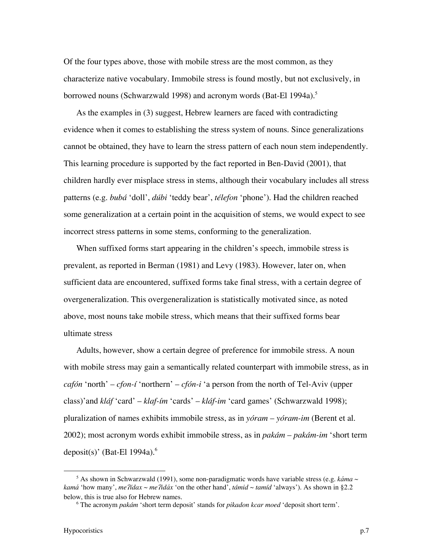Of the four types above, those with mobile stress are the most common, as they characterize native vocabulary. Immobile stress is found mostly, but not exclusively, in borrowed nouns (Schwarzwald 1998) and acronym words (Bat-El 1994a).<sup>5</sup>

As the examples in (3) suggest, Hebrew learners are faced with contradicting evidence when it comes to establishing the stress system of nouns. Since generalizations cannot be obtained, they have to learn the stress pattern of each noun stem independently. This learning procedure is supported by the fact reported in Ben-David (2001), that children hardly ever misplace stress in stems, although their vocabulary includes all stress patterns (e.g. *bubá* 'doll', *dúbi* 'teddy bear', *télefon* 'phone'). Had the children reached some generalization at a certain point in the acquisition of stems, we would expect to see incorrect stress patterns in some stems, conforming to the generalization.

When suffixed forms start appearing in the children's speech, immobile stress is prevalent, as reported in Berman (1981) and Levy (1983). However, later on, when sufficient data are encountered, suffixed forms take final stress, with a certain degree of overgeneralization. This overgeneralization is statistically motivated since, as noted above, most nouns take mobile stress, which means that their suffixed forms bear ultimate stress

Adults, however, show a certain degree of preference for immobile stress. A noun with mobile stress may gain a semantically related counterpart with immobile stress, as in *cafón* 'north' – *cfon-í* 'northern' – *cfón-i* 'a person from the north of Tel-Aviv (upper class)'and *kláf* 'card' – *klaf-ím* 'cards' – *kláf-im* 'card games' (Schwarzwald 1998); pluralization of names exhibits immobile stress, as in *yóram* – *yóram-im* (Berent et al. 2002); most acronym words exhibit immobile stress, as in *pakám* – *pakám-im* 'short term deposit(s)' (Bat-El 1994a). $<sup>6</sup>$ </sup>

 $rac{1}{5}$ <sup>5</sup> As shown in Schwarzwald (1991), some non-paradigmatic words have variable stress (e.g. *káma* ~ *kamá* 'how many', *mefídax* ~ *mefidáx* 'on the other hand', *támid* ~ *tamíd* 'always'). As shown in §2.2 below, this is true also for Hebrew names.

<sup>6</sup> The acronym *pakám* 'short term deposit' stands for *pikadon kcar moed* 'deposit short term'.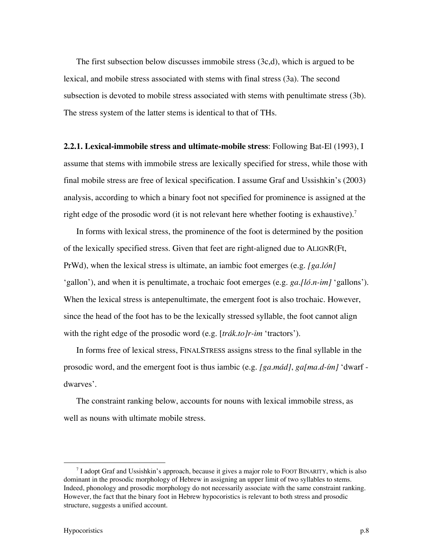The first subsection below discusses immobile stress (3c,d), which is argued to be lexical, and mobile stress associated with stems with final stress (3a). The second subsection is devoted to mobile stress associated with stems with penultimate stress (3b). The stress system of the latter stems is identical to that of THs.

**2.2.1. Lexical-immobile stress and ultimate-mobile stress**: Following Bat-El (1993), I assume that stems with immobile stress are lexically specified for stress, while those with final mobile stress are free of lexical specification. I assume Graf and Ussishkin's (2003) analysis, according to which a binary foot not specified for prominence is assigned at the right edge of the prosodic word (it is not relevant here whether footing is exhaustive).<sup>7</sup>

In forms with lexical stress, the prominence of the foot is determined by the position of the lexically specified stress. Given that feet are right-aligned due to ALIGNR(Ft, PrWd), when the lexical stress is ultimate, an iambic foot emerges (e.g. *[ga.lón]* 'gallon'), and when it is penultimate, a trochaic foot emerges (e.g. *ga.[ló.n-im]* 'gallons'). When the lexical stress is antepenultimate, the emergent foot is also trochaic. However, since the head of the foot has to be the lexically stressed syllable, the foot cannot align with the right edge of the prosodic word (e.g. [*trák.to]r-im* 'tractors').

In forms free of lexical stress, FINALSTRESS assigns stress to the final syllable in the prosodic word, and the emergent foot is thus iambic (e.g. *[ga.mád]*, *ga[ma.d-ím]* 'dwarf dwarves'.

The constraint ranking below, accounts for nouns with lexical immobile stress, as well as nouns with ultimate mobile stress.

 $\overline{a}$ <sup>7</sup> I adopt Graf and Ussishkin's approach, because it gives a major role to FOOT BINARITY, which is also dominant in the prosodic morphology of Hebrew in assigning an upper limit of two syllables to stems. Indeed, phonology and prosodic morphology do not necessarily associate with the same constraint ranking. However, the fact that the binary foot in Hebrew hypocoristics is relevant to both stress and prosodic structure, suggests a unified account.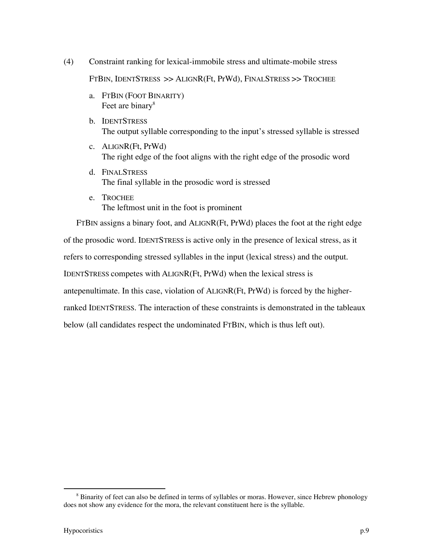- (4) Constraint ranking for lexical-immobile stress and ultimate-mobile stress FTBIN, IDENTSTRESS >> ALIGNR(Ft, PrWd), FINALSTRESS >> TROCHEE
	- a. FTBIN (FOOT BINARITY) Feet are binary<sup>8</sup>
	- b. IDENTSTRESS The output syllable corresponding to the input's stressed syllable is stressed
	- c. ALIGNR(Ft, PrWd) The right edge of the foot aligns with the right edge of the prosodic word
	- d. FINALSTRESS The final syllable in the prosodic word is stressed
	- e. TROCHEE The leftmost unit in the foot is prominent

FTBIN assigns a binary foot, and ALIGNR(Ft, PrWd) places the foot at the right edge of the prosodic word. IDENTSTRESS is active only in the presence of lexical stress, as it refers to corresponding stressed syllables in the input (lexical stress) and the output. IDENTSTRESS competes with ALIGNR(Ft, PrWd) when the lexical stress is antepenultimate. In this case, violation of ALIGNR(Ft, PrWd) is forced by the higherranked IDENTSTRESS. The interaction of these constraints is demonstrated in the tableaux below (all candidates respect the undominated FTBIN, which is thus left out).

 <sup>8</sup> <sup>8</sup> Binarity of feet can also be defined in terms of syllables or moras. However, since Hebrew phonology does not show any evidence for the mora, the relevant constituent here is the syllable.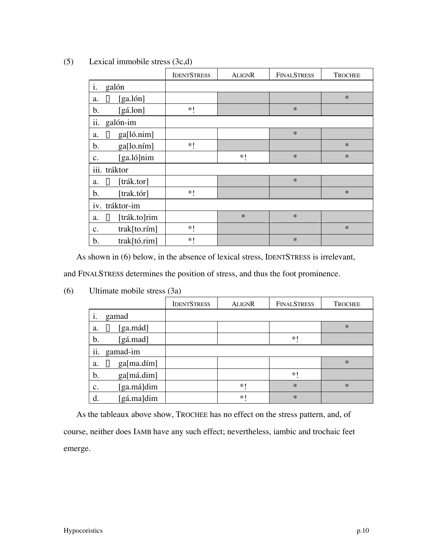|                                 | <b>IDENTSTRESS</b> | <b>ALIGNR</b> | <b>FINALSTRESS</b> | <b>TROCHEE</b> |
|---------------------------------|--------------------|---------------|--------------------|----------------|
| i.<br>galón                     |                    |               |                    |                |
| <sup>13</sup> [ga.lón]<br>a.    |                    |               |                    | $\ast$         |
| [gá.lon]<br>b.                  | $*!$               |               | $\ast$             |                |
| ii.<br>galón-im                 |                    |               |                    |                |
| $\mathbb{R}$ ga[ló.nim]<br>a.   |                    |               | $\ast$             |                |
| b.<br>ga[lo.ním]                | $*!$               |               |                    | $\ast$         |
| [ga.ló]nim<br>c.                |                    | $*!$          | $\ast$             | $\ast$         |
| iii. tráktor                    |                    |               |                    |                |
| $\mathbb{R}$ [trák.tor]<br>a.   |                    |               | $\ast$             |                |
| b.<br>[trak.tór]                | $*!$               |               |                    | $\ast$         |
| iv. tráktor-im                  |                    |               |                    |                |
| $\mathbb{R}$ [trák.to]rim<br>a. |                    | $\ast$        | $\ast$             |                |
| trak[to.rím]<br>c.              | $*!$               |               |                    | $\ast$         |
| trak[t6.rim]<br>b.              | $*!$               |               | $\ast$             |                |

# (5) Lexical immobile stress (3c,d)

As shown in (6) below, in the absence of lexical stress, IDENTSTRESS is irrelevant,

and FINALSTRESS determines the position of stress, and thus the foot prominence.

|                               | <b>IDENTSTRESS</b> | <b>ALIGNR</b> | <b>FINALSTRESS</b> | <b>TROCHEE</b> |
|-------------------------------|--------------------|---------------|--------------------|----------------|
| gamad<br>1.                   |                    |               |                    |                |
| [ga.mád]<br>隐<br>a.           |                    |               |                    | $\ast$         |
| [gá.mad]<br>b.                |                    |               | $*1$               |                |
| ii.<br>gamad-im               |                    |               |                    |                |
| $\mathbb{R}$ ga[ma.dím]<br>a. |                    |               |                    | $\ast$         |
| ga[má.dim]<br>b.              |                    |               | $\ast$             |                |
| [ga.má]dim<br>$\mathbf{c}$ .  |                    | $*1$          | $\ast$             | $\ast$         |
| [gá.ma]dim<br>d.              |                    | $*1$          | $\ast$             |                |

(6) Ultimate mobile stress (3a)

As the tableaux above show, TROCHEE has no effect on the stress pattern, and, of course, neither does IAMB have any such effect; nevertheless, iambic and trochaic feet emerge.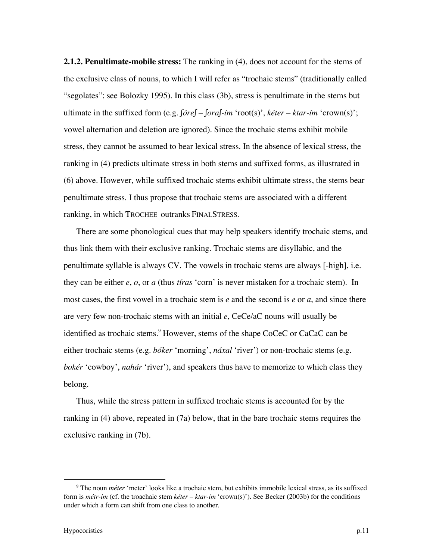**2.1.2. Penultimate-mobile stress:** The ranking in (4), does not account for the stems of the exclusive class of nouns, to which I will refer as "trochaic stems" (traditionally called "segolates"; see Bolozky 1995). In this class (3b), stress is penultimate in the stems but ultimate in the suffixed form (e.g. *∫óre∫* – *∫ora∫-ím* 'root(s)', *kéter* – *ktar-ím* 'crown(s)'; vowel alternation and deletion are ignored). Since the trochaic stems exhibit mobile stress, they cannot be assumed to bear lexical stress. In the absence of lexical stress, the ranking in (4) predicts ultimate stress in both stems and suffixed forms, as illustrated in (6) above. However, while suffixed trochaic stems exhibit ultimate stress, the stems bear penultimate stress. I thus propose that trochaic stems are associated with a different ranking, in which TROCHEE outranks FINALSTRESS.

There are some phonological cues that may help speakers identify trochaic stems, and thus link them with their exclusive ranking. Trochaic stems are disyllabic, and the penultimate syllable is always CV. The vowels in trochaic stems are always [-high], i.e. they can be either *e*, *o*, or *a* (thus *tíras* 'corn' is never mistaken for a trochaic stem). In most cases, the first vowel in a trochaic stem is *e* and the second is *e* or *a*, and since there are very few non-trochaic stems with an initial *e*, CeCe/aC nouns will usually be identified as trochaic stems.<sup>9</sup> However, stems of the shape CoCeC or CaCaC can be either trochaic stems (e.g. *bóker* 'morning', *náxal* 'river') or non-trochaic stems (e.g. *bokér* 'cowboy', *nahár* 'river'), and speakers thus have to memorize to which class they belong.

Thus, while the stress pattern in suffixed trochaic stems is accounted for by the ranking in (4) above, repeated in (7a) below, that in the bare trochaic stems requires the exclusive ranking in (7b).

 $\overline{9}$  The noun *méter* 'meter' looks like a trochaic stem, but exhibits immobile lexical stress, as its suffixed form is *métr-im* (cf. the troachaic stem *kéter* – *ktar-ím* 'crown(s)'). See Becker (2003b) for the conditions under which a form can shift from one class to another.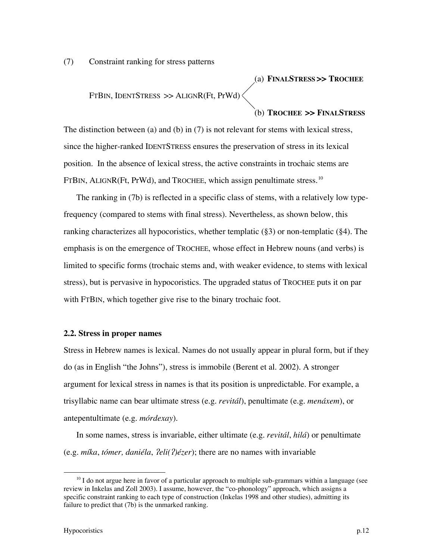(7) Constraint ranking for stress patterns

(a) **FINALSTRESS >> TROCHEE** FTBIN, IDENTSTRESS >> ALIGNR(Ft, PrWd)

(b) **TROCHEE >> FINALSTRESS**

The distinction between (a) and (b) in (7) is not relevant for stems with lexical stress, since the higher-ranked IDENTSTRESS ensures the preservation of stress in its lexical position. In the absence of lexical stress, the active constraints in trochaic stems are FTBIN, ALIGNR(Ft, PrWd), and TROCHEE, which assign penultimate stress.<sup>10</sup>

The ranking in (7b) is reflected in a specific class of stems, with a relatively low typefrequency (compared to stems with final stress). Nevertheless, as shown below, this ranking characterizes all hypocoristics, whether templatic (§3) or non-templatic (§4). The emphasis is on the emergence of TROCHEE, whose effect in Hebrew nouns (and verbs) is limited to specific forms (trochaic stems and, with weaker evidence, to stems with lexical stress), but is pervasive in hypocoristics. The upgraded status of TROCHEE puts it on par with FTBIN, which together give rise to the binary trochaic foot.

#### **2.2. Stress in proper names**

Stress in Hebrew names is lexical. Names do not usually appear in plural form, but if they do (as in English "the Johns"), stress is immobile (Berent et al. 2002). A stronger argument for lexical stress in names is that its position is unpredictable. For example, a trisyllabic name can bear ultimate stress (e.g. *revitál*), penultimate (e.g. *menáxem*), or antepentultimate (e.g. *mórdexay*).

In some names, stress is invariable, either ultimate (e.g. *revitál*, *hilá*) or penultimate (e.g. *míka*, *tómer, daniéla*, /*eli(*/*)ézer*); there are no names with invariable

<sup>&</sup>lt;sup>10</sup> I do not argue here in favor of a particular approach to multiple sub-grammars within a language (see review in Inkelas and Zoll 2003). I assume, however, the "co-phonology" approach, which assigns a specific constraint ranking to each type of construction (Inkelas 1998 and other studies), admitting its failure to predict that (7b) is the unmarked ranking.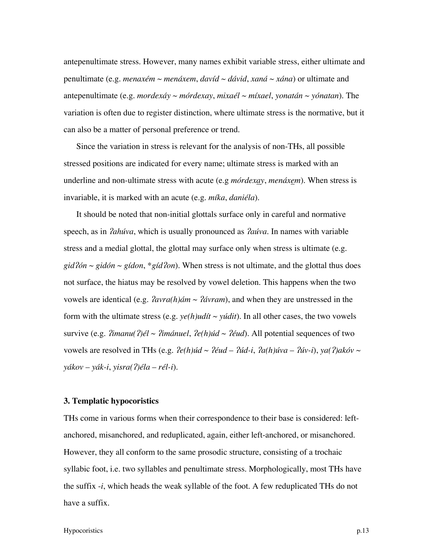antepenultimate stress. However, many names exhibit variable stress, either ultimate and penultimate (e.g. *menaxém* ~ *menáxem*, *davíd* ~ *dávid*, *xaná* ~ *xána*) or ultimate and antepenultimate (e.g. *mordexáy* ~ *mórdexay*, *mixaél* ~ *míxael*, *yonatán* ~ *yónatan*). The variation is often due to register distinction, where ultimate stress is the normative, but it can also be a matter of personal preference or trend.

Since the variation in stress is relevant for the analysis of non-THs, all possible stressed positions are indicated for every name; ultimate stress is marked with an underline and non-ultimate stress with acute (e.g *mórdexay*, *menáxem*). When stress is invariable, it is marked with an acute (e.g. *míka*, *daniéla*).

It should be noted that non-initial glottals surface only in careful and normative speech, as in /*ahúva*, which is usually pronounced as /*aúva*. In names with variable stress and a medial glottal, the glottal may surface only when stress is ultimate (e.g. *gid*/*ón* ~ *gidón* ~ *gídon*, \**gíd*/*on*). When stress is not ultimate, and the glottal thus does not surface, the hiatus may be resolved by vowel deletion. This happens when the two vowels are identical (e.g. *ám ~*  $*Yávram*$ *), and when they are unstressed in the* form with the ultimate stress (e.g.  $ye(h)udit \sim yúdit$ ). In all other cases, the two vowels survive (e.g.  $\hat{Z}$ *imanu*( $\hat{Z}$ *)él* ~  $\hat{Z}$ *imánuel*,  $\hat{Z}$ *e*( $h$ )*úd* ~  $\hat{Z}$ *éud*). All potential sequences of two vowels are resolved in THs (e.g.  $\mathcal{P}(h)$ *úd* ~  $\mathcal{P}(id - \mathcal{V}id - \mathcal{V}id)$ *iva* —  $\mathcal{V}(\mathcal{V}id)$ *iva* ~ *yákov* – *yák-i*, *yisra(*/*)éla* – *rél-i*).

## **3. Templatic hypocoristics**

THs come in various forms when their correspondence to their base is considered: leftanchored, misanchored, and reduplicated, again, either left-anchored, or misanchored. However, they all conform to the same prosodic structure, consisting of a trochaic syllabic foot, i.e. two syllables and penultimate stress. Morphologically, most THs have the suffix -*i*, which heads the weak syllable of the foot. A few reduplicated THs do not have a suffix.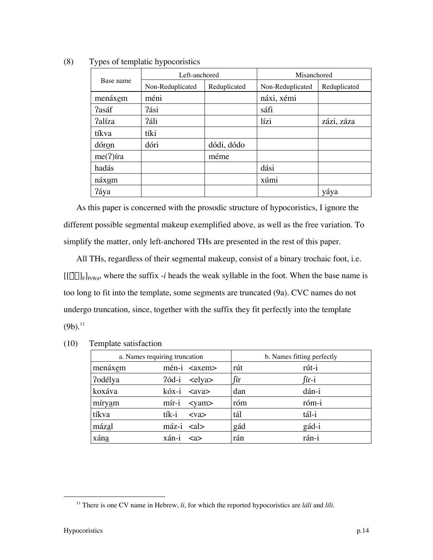|             | Left-anchored    |              | Misanchored      |              |  |
|-------------|------------------|--------------|------------------|--------------|--|
| Base name   | Non-Reduplicated | Reduplicated | Non-Reduplicated | Reduplicated |  |
| menáxem     | méni             |              | náxi, xémi       |              |  |
| ?asáf       | ?ási             |              | sáfi             |              |  |
| ?alíza      | ?áli             |              | lízi             | zázi, záza   |  |
| tíkva       | tíki             |              |                  |              |  |
| dóron       | dóri             | dódi, dódo   |                  |              |  |
| $me(?)$ íra |                  | méme         |                  |              |  |
| hadás       |                  |              | dási             |              |  |
| náxum       |                  |              | xúmi             |              |  |
| ?áya        |                  |              |                  | yáya         |  |

(8) Types of templatic hypocoristics

As this paper is concerned with the prosodic structure of hypocoristics, I ignore the different possible segmental makeup exemplified above, as well as the free variation. To simplify the matter, only left-anchored THs are presented in the rest of this paper.

All THs, regardless of their segmental makeup, consist of a binary trochaic foot, i.e.  $[[\dot{\sigma}\sigma]_F]_{PrWd}$ , where the suffix -*i* heads the weak syllable in the foot. When the base name is too long to fit into the template, some segments are truncated (9a). CVC names do not undergo truncation, since, together with the suffix they fit perfectly into the template  $(9b).^{11}$ 

|         | a. Names requiring truncation        |           | b. Names fitting perfectly |  |  |
|---------|--------------------------------------|-----------|----------------------------|--|--|
| menáxem | $mén-i xem>$                         | rút       | rút-i                      |  |  |
| ?odélya | <elya><br/><math>26d-i</math></elya> | $\int$ ir | ∫ír-i                      |  |  |
| koxáva  | kóx-i <ava></ava>                    | dan       | dán-i                      |  |  |
| míryam  | $m$ ír-i<br>$<$ yam $>$              | róm       | róm-i                      |  |  |
| tíkva   | tík-i<br>$<$ va $>$                  | tál       | tál-i                      |  |  |
| mázal   | $máz-i \leq a$                       | gád       | gád-i                      |  |  |
| xána    | xán-i<br>$\langle 2 \rangle$         | rán       | rán-i                      |  |  |

(10) Template satisfaction

 <sup>11</sup> There is one CV name in Hebrew, *li*, for which the reported hypocoristics are *láli* and *líli*.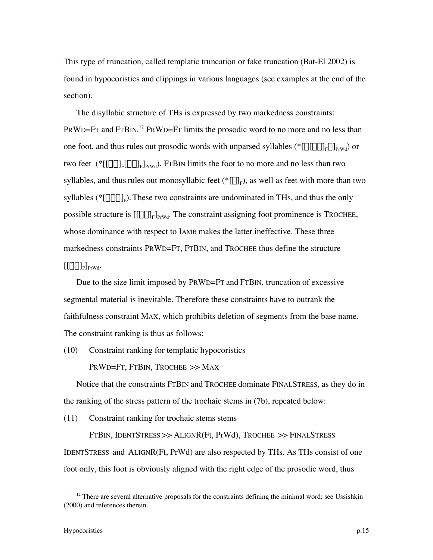This type of truncation, called templatic truncation or fake truncation (Bat-El 2002) is found in hypocoristics and clippings in various languages (see examples at the end of the section).

The disyllabic structure of THs is expressed by two markedness constraints: PRWD=FT and FTBIN.<sup>12</sup> PRWD=FT limits the prosodic word to no more and no less than one foot, and thus rules out prosodic words with unparsed syllables ( $\{[\sigma[\sigma\sigma]_F\sigma]_F\}_{Ffwd}$ ) or two feet  $(*[[\sigma\sigma]_F[\sigma\sigma]_F]_{Prwd})$ . FTBIN limits the foot to no more and no less than two syllables, and thus rules out monosyllabic feet ( $\mathcal{E}[\sigma_F]$ ), as well as feet with more than two syllables ( $\{\sigma \sigma \sigma\}_F$ ). These two constraints are undominated in THs, and thus the only possible structure is  $[[\sigma\sigma]_F]_{prwd}$ . The constraint assigning foot prominence is TROCHEE, whose dominance with respect to IAMB makes the latter ineffective. These three markedness constraints PRWD=FT, FTBIN, and TROCHEE thus define the structure  $[[\dot{\sigma}\sigma]_{\rm F}]_{\rm PrWd}.$ 

Due to the size limit imposed by PRWD=FT and FTBIN, truncation of excessive segmental material is inevitable. Therefore these constraints have to outrank the faithfulness constraint MAX, which prohibits deletion of segments from the base name. The constraint ranking is thus as follows:

(10) Constraint ranking for templatic hypocoristics

PRWD=FT, FTBIN, TROCHEE >> MAX

Notice that the constraints FTBIN and TROCHEE dominate FINALSTRESS, as they do in the ranking of the stress pattern of the trochaic stems in (7b), repeated below:

(11) Constraint ranking for trochaic stems stems

FTBIN, IDENTSTRESS >> ALIGNR(Ft, PrWd), TROCHEE >> FINALSTRESS IDENTSTRESS and ALIGNR(Ft, PrWd) are also respected by THs. As THs consist of one foot only, this foot is obviously aligned with the right edge of the prosodic word, thus

 $\frac{12}{12}$  $12$  There are several alternative proposals for the constraints defining the minimal word; see Ussishkin (2000) and references therein.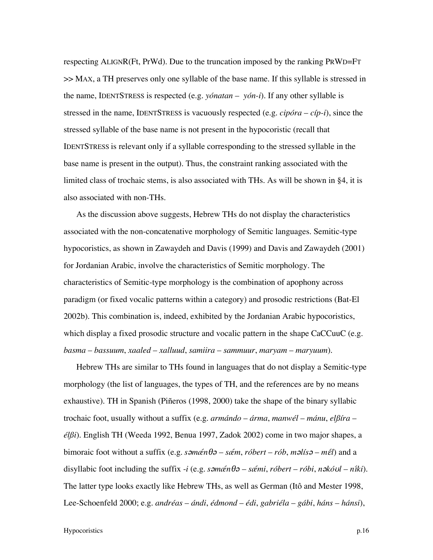respecting ALIGNR(Ft, PrWd). Due to the truncation imposed by the ranking PRWD=FT >> MAX, a TH preserves only one syllable of the base name. If this syllable is stressed in the name, IDENTSTRESS is respected (e.g. *yónatan* – *yón-i*). If any other syllable is stressed in the name, IDENTSTRESS is vacuously respected (e.g. *cipóra* – *cíp-i*), since the stressed syllable of the base name is not present in the hypocoristic (recall that IDENTSTRESS is relevant only if a syllable corresponding to the stressed syllable in the base name is present in the output). Thus, the constraint ranking associated with the limited class of trochaic stems, is also associated with THs. As will be shown in §4, it is also associated with non-THs.

As the discussion above suggests, Hebrew THs do not display the characteristics associated with the non-concatenative morphology of Semitic languages. Semitic-type hypocoristics, as shown in Zawaydeh and Davis (1999) and Davis and Zawaydeh (2001) for Jordanian Arabic, involve the characteristics of Semitic morphology. The characteristics of Semitic-type morphology is the combination of apophony across paradigm (or fixed vocalic patterns within a category) and prosodic restrictions (Bat-El 2002b). This combination is, indeed, exhibited by the Jordanian Arabic hypocoristics, which display a fixed prosodic structure and vocalic pattern in the shape CaCCuuC (e.g. *basma* – *bassuum*, *xaaled* – *xalluud*, *samiira* – *sammuur*, *maryam* – *maryuum*).

Hebrew THs are similar to THs found in languages that do not display a Semitic-type morphology (the list of languages, the types of TH, and the references are by no means exhaustive). TH in Spanish (Piñeros (1998, 2000) take the shape of the binary syllabic trochaic foot, usually without a suffix (e.g. *armándo* – *árma*, *manwél* – *mánu*, *elßíra* – *élßi*). English TH (Weeda 1992, Benua 1997, Zadok 2002) come in two major shapes, a bimoraic foot without a suffix (e.g. *s*´*mæ*@*n*T´ – *sæ*@*m*, *róbert* – *rób*, *m*´*lís*´ – *m*E@*l*) and a disyllabic foot including the suffix -*i* (e.g. *s*´*mæ*@*n*T´ – *sæ*@*mi*, *róbert* – *róbi*, *n*´*kó*U*l* – *n*I@*ki*). The latter type looks exactly like Hebrew THs, as well as German (Itô and Mester 1998, Lee-Schoenfeld 2000; e.g. *andréas* – *ándi*, *édmond* – *édi*, *gabriéla* – *gábi*, *háns* – *hánsi*),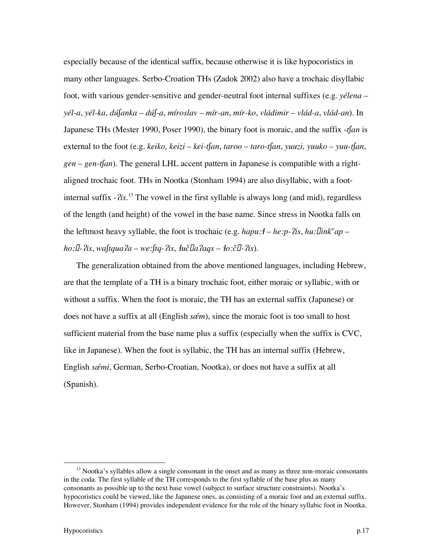especially because of the identical suffix, because otherwise it is like hypocoristics in many other languages. Serbo-Croation THs (Zadok 2002) also have a trochaic disyllabic foot, with various gender-sensitive and gender-neutral foot internal suffixes (e.g. *yélena* – *yél-a*, *yél-ka*, *dú∫anka* – *dú∫-a*, *míroslav* – *mír-an*, *mír-ko*, *vládimir* – *vlád-a*, *vlád-an*). In Japanese THs (Mester 1990, Poser 1990), the binary foot is moraic, and the suffix -*t∫an* is external to the foot (e.g. *keiko, keizi* – *kei-t∫an*, *taroo* – *taro-t∫an*, *yuuzi, yuuko* – *yuu-t∫an*, *gen* – *gen-t∫an*). The general LHL accent pattern in Japanese is compatible with a rightaligned trochaic foot. THs in Nootka (Stonham 1994) are also disyllabic, with a footinternal suffix -  $\frac{2}{is}$ .<sup>13</sup> The vowel in the first syllable is always long (and mid), regardless of the length (and height) of the vowel in the base name. Since stress in Nootka falls on the leftmost heavy syllable, the foot is trochaic (e.g. *hapu:* $\dot{\theta}$  – *he:p-?is, hu:hink*<sup>*wap*</sup> – *ho:***h**-?is, wa∫tqua?a – we:∫tq-?is, łučha?aqs – ło:čħ-?is).

The generalization obtained from the above mentioned languages, including Hebrew, are that the template of a TH is a binary trochaic foot, either moraic or syllabic, with or without a suffix. When the foot is moraic, the TH has an external suffix (Japanese) or does not have a suffix at all (English *sœm*), since the moraic foot is too small to host sufficient material from the base name plus a suffix (especially when the suffix is CVC, like in Japanese). When the foot is syllabic, the TH has an internal suffix (Hebrew, English *sæ*@*mi*, German, Serbo-Croatian, Nootka), or does not have a suffix at all (Spanish).

<sup>&</sup>lt;sup>13</sup>  $<sup>13</sup>$  Nootka's syllables allow a single consonant in the onset and as many as three non-moraic consonants</sup> in the coda. The first syllable of the TH corresponds to the first syllable of the base plus as many consonants as possible up to the next base vowel (subject to surface structure constraints). Nootka's hypocoristics could be viewed, like the Japanese ones, as consisting of a moraic foot and an external suffix. However, Stonham (1994) provides independent evidence for the role of the binary syllabic foot in Nootka.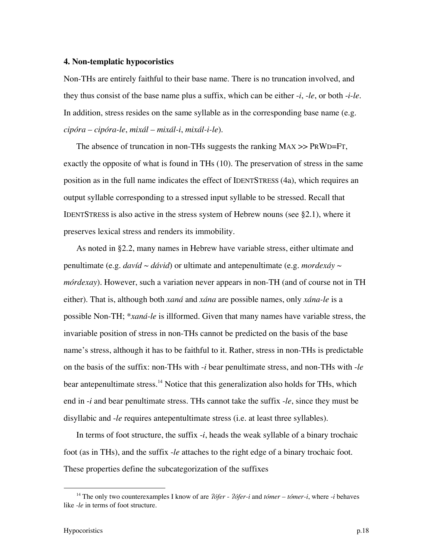## **4. Non-templatic hypocoristics**

Non-THs are entirely faithful to their base name. There is no truncation involved, and they thus consist of the base name plus a suffix, which can be either -*i*, -*le*, or both -*i*-*le*. In addition, stress resides on the same syllable as in the corresponding base name (e.g. *cipóra* – *cipóra-le*, *mixál* – *mixál-i*, *mixál-i-le*).

The absence of truncation in non-THs suggests the ranking MAX >> PRWD=FT, exactly the opposite of what is found in THs (10). The preservation of stress in the same position as in the full name indicates the effect of IDENTSTRESS (4a), which requires an output syllable corresponding to a stressed input syllable to be stressed. Recall that IDENTSTRESS is also active in the stress system of Hebrew nouns (see §2.1), where it preserves lexical stress and renders its immobility.

As noted in §2.2, many names in Hebrew have variable stress, either ultimate and penultimate (e.g. *davíd* ~ *dávid*) or ultimate and antepenultimate (e.g. *mordexáy* ~ *mórdexay*). However, such a variation never appears in non-TH (and of course not in TH either). That is, although both *xaná* and *xána* are possible names, only *xána-le* is a possible Non-TH; \**xaná-le* is illformed. Given that many names have variable stress, the invariable position of stress in non-THs cannot be predicted on the basis of the base name's stress, although it has to be faithful to it. Rather, stress in non-THs is predictable on the basis of the suffix: non-THs with -*i* bear penultimate stress, and non-THs with -*le* bear antepenultimate stress.<sup>14</sup> Notice that this generalization also holds for THs, which end in -*i* and bear penultimate stress. THs cannot take the suffix -*le*, since they must be disyllabic and -*le* requires antepentultimate stress (i.e. at least three syllables).

In terms of foot structure, the suffix -*i*, heads the weak syllable of a binary trochaic foot (as in THs), and the suffix -*le* attaches to the right edge of a binary trochaic foot. These properties define the subcategorization of the suffixes

<sup>&</sup>lt;u>14</u> The only two counterexamples I know of are /*ófer* - /*ófer-i* and *tómer* – *tómer-i*, where -*i* behaves like *-le* in terms of foot structure.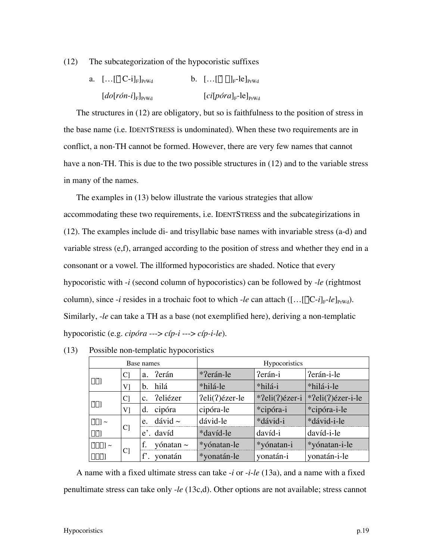(12) The subcategorization of the hypocoristic suffixes

| a. $[]$ o $[C-i]_F]_{PrWd}$                                   | b. $[]$ $\sigma$ $]$ <sub>F</sub> -le $]$ <sub>PrWd</sub> |
|---------------------------------------------------------------|-----------------------------------------------------------|
| $\left[do[r\acute{o}n-i]_{\mathrm{F}}\right]_{\mathrm{PrWd}}$ | $[ci[póra]_F$ -le] <sub>PrWd</sub>                        |

The structures in (12) are obligatory, but so is faithfulness to the position of stress in the base name (i.e. IDENTSTRESS is undominated). When these two requirements are in conflict, a non-TH cannot be formed. However, there are very few names that cannot have a non-TH. This is due to the two possible structures in (12) and to the variable stress in many of the names.

The examples in (13) below illustrate the various strategies that allow accommodating these two requirements, i.e. IDENTSTRESS and the subcategirizations in (12). The examples include di- and trisyllabic base names with invariable stress (a-d) and variable stress (e,f), arranged according to the position of stress and whether they end in a consonant or a vowel. The illformed hypocoristics are shaded. Notice that every hypocoristic with -*i* (second column of hypocoristics) can be followed by -*le* (rightmost column), since *-i* resides in a trochaic foot to which *-le* can attach  $([...]_CC-i]_F$ -*le*]<sub>PrWd</sub>). Similarly, -*le* can take a TH as a base (not exemplified here), deriving a non-templatic hypocoristic (e.g. *cipóra* ---> *cíp-i* ---> *cíp-i-le*).

|                         | Base names     |                | Hypocoristics  |                |                |                   |
|-------------------------|----------------|----------------|----------------|----------------|----------------|-------------------|
|                         | C              | Perán<br>a.    |                | *?erán-le      | ?erán-i        | ?erán-i-le        |
| $\sigma\acute{\sigma}$  | Vl             | b.             | hilá           | *hilá-le       | *hilá-i        | *hilá-i-le        |
|                         | $\mathcal{C}$  | C <sub>1</sub> | ?eliézer       | ?eli(?)ézer-le | *?eli(?)ézer-i | *?eli(?)ézer-i-le |
| $\sigma$ <sub>0</sub>   | V1             | d.             | cipóra         | cipóra-le      | *cipóra-i      | *cipóra-i-le      |
| $\sigma$ σ $\sim$       |                | e.             | dávid $\sim$   | dávid-le       | *dávid-i       | *dávid-i-le       |
| $\sigma\acute{\sigma}$  | C <sub>1</sub> |                | e'. davíd      | *davíd-le      | davíd-i        | davíd-i-le        |
| $\sigma$ σσ $\sim$      |                |                | yónatan $\sim$ | *yónatan-le    | *yónatan-i     | *yónatan-i-le     |
| $\sigma\sigma\acute{o}$ | C <sub>1</sub> |                | yonatán        | *yonatán-le    | vonatán-i      | yonatán-i-le      |

(13) Possible non-templatic hypocoristics

A name with a fixed ultimate stress can take -*i* or -*i*-*le* (13a), and a name with a fixed penultimate stress can take only -*le* (13c,d). Other options are not available; stress cannot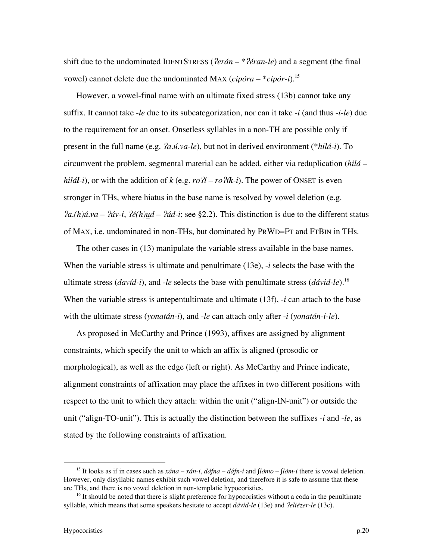shift due to the undominated IDENTSTRESS (*lerán* – \**léran-le*) and a segment (the final vowel) cannot delete due the undominated MAX (*cipóra* – \**cipór-i*).15

However, a vowel-final name with an ultimate fixed stress (13b) cannot take any suffix. It cannot take -*le* due to its subcategorization, nor can it take -*i* (and thus -*i*-*le*) due to the requirement for an onset. Onsetless syllables in a non-TH are possible only if present in the full name (e.g. /*a.ú.va-le*), but not in derived environment (\**hilá-i*). To circumvent the problem, segmental material can be added, either via reduplication (*hilá* – *hilál*<sup>*-i*</sup>), or with the addition of *k* (e.g. *ro*  $\mathcal{U}$  – *ro*  $\mathcal{U}$ *k-<i>i*). The power of ONSET is even stronger in THs, where hiatus in the base name is resolved by vowel deletion (e.g.  $\hat{a}$ .(h)*ú.va* –  $\hat{\mu}$ *úv-i*,  $\hat{\ell}$ *é(h)ud* –  $\hat{\mu}$ *úd-i*; see §2.2). This distinction is due to the different status of MAX, i.e. undominated in non-THs, but dominated by PRWD=FT and FTBIN in THs.

The other cases in (13) manipulate the variable stress available in the base names. When the variable stress is ultimate and penultimate (13e), -*i* selects the base with the ultimate stress (*davíd-i*), and -*le* selects the base with penultimate stress (*dávid-le*).16 When the variable stress is antepentultimate and ultimate (13f), -*i* can attach to the base with the ultimate stress (*yonatán-i*), and -*le* can attach only after -*i* (*yonatán-i-le*).

As proposed in McCarthy and Prince (1993), affixes are assigned by alignment constraints, which specify the unit to which an affix is aligned (prosodic or morphological), as well as the edge (left or right). As McCarthy and Prince indicate, alignment constraints of affixation may place the affixes in two different positions with respect to the unit to which they attach: within the unit ("align-IN-unit") or outside the unit ("align-TO-unit"). This is actually the distinction between the suffixes -*i* and -*le*, as stated by the following constraints of affixation.

 <sup>15</sup> It looks as if in cases such as *xána* – *xán-i*, *dáfna* – *dáfn-i* and *∫lómo* – *∫lóm-i* there is vowel deletion. However, only disyllabic names exhibit such vowel deletion, and therefore it is safe to assume that these are THs, and there is no vowel deletion in non-templatic hypocoristics.

<sup>&</sup>lt;sup>16</sup> It should be noted that there is slight preference for hypocoristics without a coda in the penultimate syllable, which means that some speakers hesitate to accept *dávid-le* (13e) and /*eliézer-le* (13c).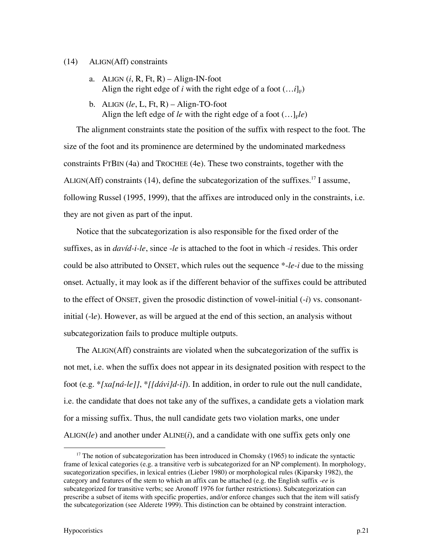## (14) ALIGN(Aff) constraints

- a. ALIGN  $(i, R, Ft, R) -$ Align-IN-foot Align the right edge of *i* with the right edge of a foot  $(...i]_F$ )
- b. ALIGN (*le*, L, Ft, R) Align-TO-foot Align the left edge of *le* with the right edge of a foot  $(...)$ <sub>F</sub>*le*)

The alignment constraints state the position of the suffix with respect to the foot. The size of the foot and its prominence are determined by the undominated markedness constraints FTBIN (4a) and TROCHEE (4e). These two constraints, together with the ALIGN(Aff) constraints (14), define the subcategorization of the suffixes.<sup>17</sup> I assume, following Russel (1995, 1999), that the affixes are introduced only in the constraints, i.e. they are not given as part of the input.

Notice that the subcategorization is also responsible for the fixed order of the suffixes, as in *davíd-i-le*, since -*le* is attached to the foot in which -*i* resides. This order could be also attributed to ONSET, which rules out the sequence \*-*le-i* due to the missing onset. Actually, it may look as if the different behavior of the suffixes could be attributed to the effect of ONSET, given the prosodic distinction of vowel-initial (-*i*) vs. consonantinitial (-l*e*). However, as will be argued at the end of this section, an analysis without subcategorization fails to produce multiple outputs.

The ALIGN(Aff) constraints are violated when the subcategorization of the suffix is not met, i.e. when the suffix does not appear in its designated position with respect to the foot (e.g. \**[xa[ná-le]]*, \**[[dávi]d-i]*). In addition, in order to rule out the null candidate, i.e. the candidate that does not take any of the suffixes, a candidate gets a violation mark for a missing suffix. Thus, the null candidate gets two violation marks, one under ALIGN(*le*) and another under ALINE(*i*), and a candidate with one suffix gets only one

<sup>&</sup>lt;sup>17</sup> The notion of subcategorization has been introduced in Chomsky (1965) to indicate the syntactic frame of lexical categories (e.g. a transitive verb is subcategorized for an NP complement). In morphology, sucategorization specifies, in lexical entries (Lieber 1980) or morphological rules (Kiparsky 1982), the category and features of the stem to which an affix can be attached (e.g. the English suffix -*ee* is subcategorized for transitive verbs; see Aronoff 1976 for further restrictions). Subcategorization can prescribe a subset of items with specific properties, and/or enforce changes such that the item will satisfy the subcategorization (see Alderete 1999). This distinction can be obtained by constraint interaction.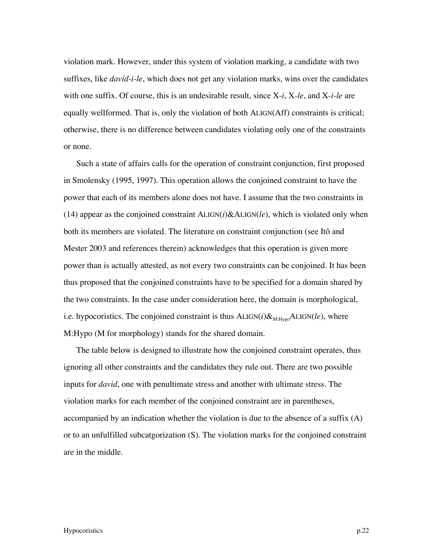violation mark. However, under this system of violation marking, a candidate with two suffixes, like *davíd-i-le*, which does not get any violation marks, wins over the candidates with one suffix. Of course, this is an undesirable result, since X-*i*, X-*le*, and X-*i*-*le* are equally wellformed. That is, only the violation of both ALIGN(Aff) constraints is critical; otherwise, there is no difference between candidates violating only one of the constraints or none.

Such a state of affairs calls for the operation of constraint conjunction, first proposed in Smolensky (1995, 1997). This operation allows the conjoined constraint to have the power that each of its members alone does not have. I assume that the two constraints in (14) appear as the conjoined constraint ALIGN(*i*)&ALIGN(*le*), which is violated only when both its members are violated. The literature on constraint conjunction (see Itô and Mester 2003 and references therein) acknowledges that this operation is given more power than is actually attested, as not every two constraints can be conjoined. It has been thus proposed that the conjoined constraints have to be specified for a domain shared by the two constraints. In the case under consideration here, the domain is morphological, i.e. hypocoristics. The conjoined constraint is thus  $ALIGN(i) \&_{M: Hypo} ALIGN(le)$ , where M:Hypo (M for morphology) stands for the shared domain.

The table below is designed to illustrate how the conjoined constraint operates, thus ignoring all other constraints and the candidates they rule out. There are two possible inputs for *david*, one with penultimate stress and another with ultimate stress. The violation marks for each member of the conjoined constraint are in parentheses, accompanied by an indication whether the violation is due to the absence of a suffix (A) or to an unfulfilled subcatgorization (S). The violation marks for the conjoined constraint are in the middle.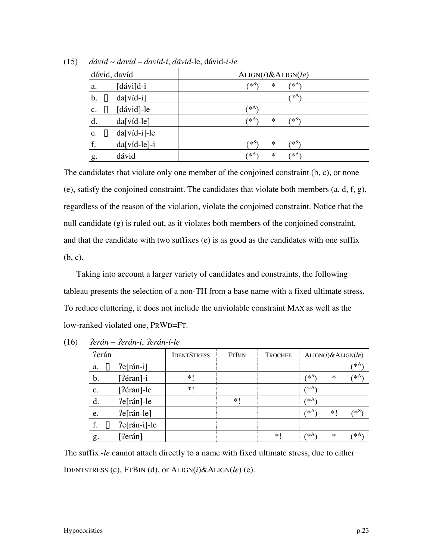| dávid, davíd                                | ALIGN(i) & ALIGN(le)      |
|---------------------------------------------|---------------------------|
| $\lceil d$ ávi $\rceil$ d-i<br>a.           | 7∗S<br>$( * A)$<br>$\ast$ |
| $da[vid-i]$<br>$\mathbf{b}$ .<br>哸          | $( *^A )$                 |
| $\lceil \text{dávid} \rceil$ -le<br>哸<br>c. | 7* <sup>A∶</sup>          |
| $da[vid-le]$<br>d.                          | (*§)<br>(∗^<br>$\ast$     |
| $\mathbb{R}$ da[víd-i]-le<br>e.             |                           |
| f.<br>$da[vid-le]-i$                        | (*S)<br>∕*≳.<br>$\ast$    |
| dávid<br>g.                                 | (*A)<br>(∗A<br>$\ast$     |

(15) *dávid* ~ *davíd* – *davíd-i*, *dávid-*le, dávid*-i-le*

The candidates that violate only one member of the conjoined constraint (b, c), or none (e), satisfy the conjoined constraint. The candidates that violate both members  $(a, d, f, g)$ , regardless of the reason of the violation, violate the conjoined constraint. Notice that the null candidate (g) is ruled out, as it violates both members of the conjoined constraint, and that the candidate with two suffixes (e) is as good as the candidates with one suffix (b, c).

Taking into account a larger variety of candidates and constraints, the following tableau presents the selection of a non-TH from a base name with a fixed ultimate stress. To reduce cluttering, it does not include the unviolable constraint MAX as well as the low-ranked violated one, PRWD=FT.

| ?erán          |                    | <b>IDENTSTRESS</b> | <b>FTBIN</b> | <b>TROCHEE</b> |       |        | ALIGN(i) & ALIGN(le) |
|----------------|--------------------|--------------------|--------------|----------------|-------|--------|----------------------|
| 哸<br>a.        | $?e[ran-i]$        |                    |              |                |       |        | (* <sup>A)</sup>     |
| b.             | $[?e$ fran $]-i$   | $*1$               |              |                | ′*2.  | $\ast$ | ′∗A`                 |
| $\mathbf{c}$ . | $[?e$ fran $]-$ le | $* $               |              |                | ′∗A`  |        |                      |
| d.             | $?e[ran]-le$       |                    | $\ast$       |                | ′∗A`  |        |                      |
| e.             | $?e[ran-le]$       |                    |              |                | ⁄ ∗A` | $*1$   | ′*S                  |
| f.<br>哸        | $?e[ran-i]-le$     |                    |              |                |       |        |                      |
| g.             | [?erán]            |                    |              | $*$            | ′∗A∖  | $\ast$ | ⁄ ∗A`                |

(16) /*erán* – /*erán-i*, /*erán-i-le*

The suffix -*le* cannot attach directly to a name with fixed ultimate stress, due to either IDENTSTRESS (c), FTBIN (d), or ALIGN(*i*)&ALIGN(*le*) (e).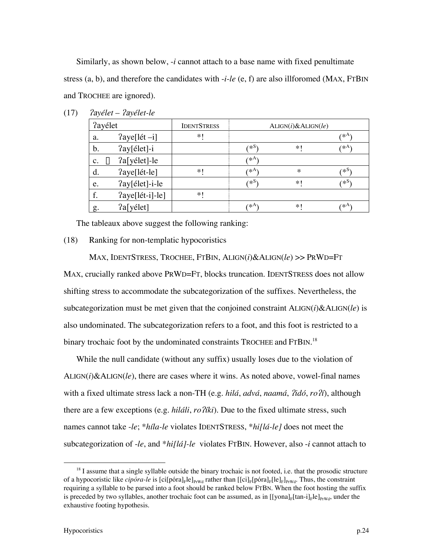Similarly, as shown below, -*i* cannot attach to a base name with fixed penultimate stress (a, b), and therefore the candidates with -*i*-*le* (e, f) are also illforomed (MAX, FTBIN and TROCHEE are ignored).

|                | ?ayélet                      | <b>IDENTSTRESS</b> |         | ALIGN(i) & ALIGN(le) |                  |
|----------------|------------------------------|--------------------|---------|----------------------|------------------|
| a.             | $2$ aye[lét -i]              | *1                 |         |                      | $( \ast A )$     |
| b.             | ?ay[élet]-i                  |                    | ′∗S     | $*$                  | $( \ast A$       |
| $\mathbf{c}$ . | ?a[yélet]-le<br>$\mathbb{R}$ |                    | ′∗A)    |                      |                  |
| d.             | ?aye[lét-le]                 | $\ast$ (           | ′∗A`    | $\ast$               | ∕ *>             |
| e.             | ?ay[élet]-i-le               |                    | $*_{s}$ | $* $                 | (*S              |
| f.             | ?aye[lét-i]-le]              | *1                 |         |                      |                  |
| g.             | ?a[yélet]                    |                    | ′∗A∖    | $*$                  | 7* <sup>A`</sup> |

(17) /a*yélet* – /a*yélet-le*

The tableaux above suggest the following ranking:

### (18) Ranking for non-templatic hypocoristics

MAX, IDENTSTRESS, TROCHEE, FTBIN, ALIGN(*i*)&ALIGN(*le*) >> PRWD=FT MAX, crucially ranked above PRWD=FT, blocks truncation. IDENTSTRESS does not allow shifting stress to accommodate the subcategorization of the suffixes. Nevertheless, the subcategorization must be met given that the conjoined constraint ALIGN(*i*)&ALIGN(*le*) is also undominated. The subcategorization refers to a foot, and this foot is restricted to a binary trochaic foot by the undominated constraints TROCHEE and FTBIN.<sup>18</sup>

While the null candidate (without any suffix) usually loses due to the violation of  $ALIGN(i) & ALIGN(ie)$ , there are cases where it wins. As noted above, vowel-final names with a fixed ultimate stress lack a non-TH (e.g. *hilá*, *advá*, *naamá*, /*idó*, *ro*/*í*), although there are a few exceptions (e.g. *hiláli*, *ro*/*íki*). Due to the fixed ultimate stress, such names cannot take -*le*; \**híla-le* violates IDENTSTRESS, \**hi[lá-le]* does not meet the subcategorization of -*le*, and \**hi[lá]-le* violates FTBIN. However, also -*i* cannot attach to

<sup>&</sup>lt;sup>18</sup> I assume that a single syllable outside the binary trochaic is not footed, i.e. that the prosodic structure of a hypocoristic like *cipóra-le* is [ci[póra]<sub>F</sub>le]<sub>PrWd</sub> rather than  $[[ci]_F[póra]_F[le]_F]_{PrWd}$ . Thus, the constraint requiring a syllable to be parsed into a foot should be ranked below FTBN. When the foot hosting the suffix is preceded by two syllables, another trochaic foot can be assumed, as in  $[[\text{yonal}_F[tan-i]_F]_P]_{PrWd}$ , under the exhaustive footing hypothesis.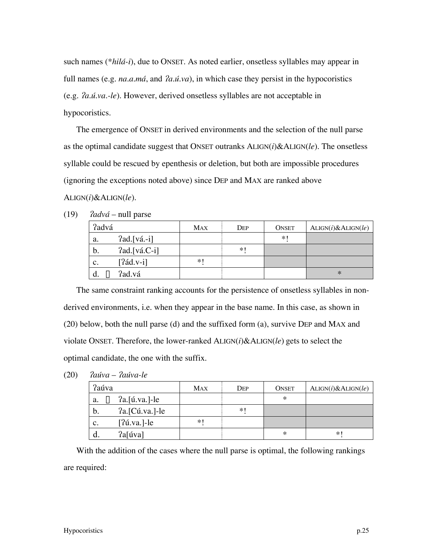such names (\**hilá-i*), due to ONSET. As noted earlier, onsetless syllables may appear in full names (e.g. *na.a.má*, and  $2a.i.va$ ), in which case they persist in the hypocoristics (e.g. /*a.ú.va.-le*). However, derived onsetless syllables are not acceptable in hypocoristics.

The emergence of ONSET in derived environments and the selection of the null parse as the optimal candidate suggest that ONSET outranks ALIGN(*i*)&ALIGN(*le*). The onsetless syllable could be rescued by epenthesis or deletion, but both are impossible procedures (ignoring the exceptions noted above) since DEP and MAX are ranked above ALIGN(*i*)&ALIGN(*le*).

|    | ?advá          | <b>MAX</b> | DEP  | <b>ONSET</b> | ALIGN(i) & ALIGN(le) |
|----|----------------|------------|------|--------------|----------------------|
| a. | $2ad.[vá.-i]$  |            |      | $*1$         |                      |
| b. | $2ad.[vá.C-i]$ |            | $*1$ |              |                      |
| c. | $[2ád.v-i]$    | $*$        |      |              |                      |
|    | ?ad.vá<br>哸    |            |      |              | $\ast$               |

 $(19)$  *?advá* – null parse

The same constraint ranking accounts for the persistence of onsetless syllables in nonderived environments, i.e. when they appear in the base name. In this case, as shown in (20) below, both the null parse (d) and the suffixed form (a), survive DEP and MAX and violate ONSET. Therefore, the lower-ranked ALIGN(*i*)&ALIGN(*le*) gets to select the optimal candidate, the one with the suffix.

| (20) |  | <i>Paúva</i> – <i>Paúva-le</i> |
|------|--|--------------------------------|
|------|--|--------------------------------|

| ?aúva          |                           | MAX | Dep  | <b>ONSET</b> | ALIGN(i) & ALIGN(le) |
|----------------|---------------------------|-----|------|--------------|----------------------|
| a.             | $\sqrt{a}$ ?a. [ú.va.]-le |     |      | $\ast$       |                      |
| b.             | ?a. [Cú.va.]-le           |     | $*1$ |              |                      |
| $\mathbf{c}$ . | $[?$ ú.va.]-le            | $*$ |      |              |                      |
|                | ?a[úva]                   |     |      | ∗            | $*$                  |

With the addition of the cases where the null parse is optimal, the following rankings are required: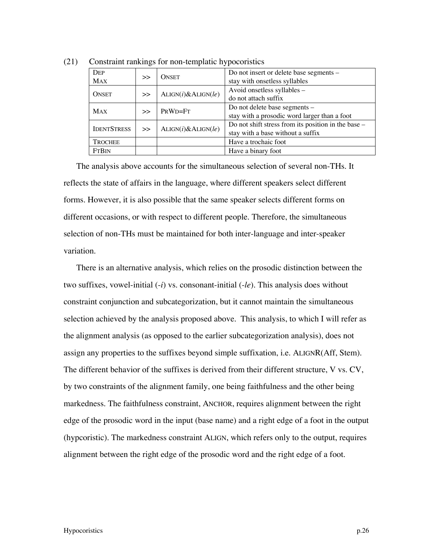| DEP                | $\gg$ | <b>ONSET</b>         | Do not insert or delete base segments -             |
|--------------------|-------|----------------------|-----------------------------------------------------|
| <b>MAX</b>         |       |                      | stay with onsetless syllables                       |
| <b>ONSET</b>       | $\gg$ | ALIGN(i) & ALIGN(le) | Avoid onsetless syllables -                         |
|                    |       |                      | do not attach suffix                                |
|                    |       | PRWD=FT              | Do not delete base segments -                       |
| <b>MAX</b>         | $\gg$ |                      | stay with a prosodic word larger than a foot        |
| <b>IDENTSTRESS</b> |       |                      | Do not shift stress from its position in the base – |
|                    | $\gg$ | ALIGN(i) & ALIGN(le) | stay with a base without a suffix                   |
| <b>TROCHEE</b>     |       |                      | Have a trochaic foot                                |
| <b>FTBIN</b>       |       |                      | Have a binary foot                                  |

(21) Constraint rankings for non-templatic hypocoristics

The analysis above accounts for the simultaneous selection of several non-THs. It reflects the state of affairs in the language, where different speakers select different forms. However, it is also possible that the same speaker selects different forms on different occasions, or with respect to different people. Therefore, the simultaneous selection of non-THs must be maintained for both inter-language and inter-speaker variation.

There is an alternative analysis, which relies on the prosodic distinction between the two suffixes, vowel-initial (-*i*) vs. consonant-initial (-*le*). This analysis does without constraint conjunction and subcategorization, but it cannot maintain the simultaneous selection achieved by the analysis proposed above. This analysis, to which I will refer as the alignment analysis (as opposed to the earlier subcategorization analysis), does not assign any properties to the suffixes beyond simple suffixation, i.e. ALIGNR(Aff, Stem). The different behavior of the suffixes is derived from their different structure, V vs. CV, by two constraints of the alignment family, one being faithfulness and the other being markedness. The faithfulness constraint, ANCHOR, requires alignment between the right edge of the prosodic word in the input (base name) and a right edge of a foot in the output (hypcoristic). The markedness constraint ALIGN, which refers only to the output, requires alignment between the right edge of the prosodic word and the right edge of a foot.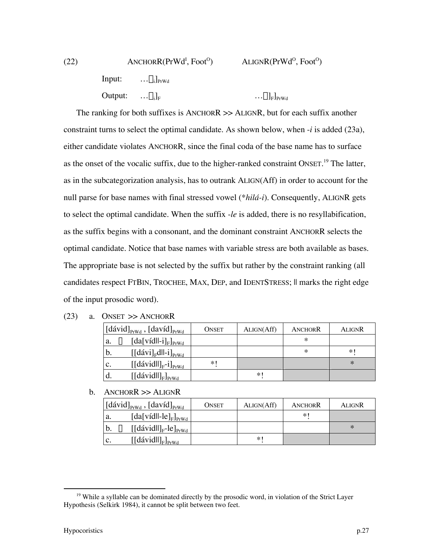| (22) | $ANCHORR(PrWdI, FootO)$          |                                          | ALIGNR(PrWd <sup>o</sup> , Foot <sup>o</sup> ) |
|------|----------------------------------|------------------------------------------|------------------------------------------------|
|      |                                  | Input: $\ldots \sigma_i$ <sub>PrWd</sub> |                                                |
|      | Output: $ \sigma_i$ <sub>E</sub> |                                          | $\ldots \sigma]_{\mathrm{F}}]_{\mathrm{PrWd}}$ |

The ranking for both suffixes is ANCHORR >> ALIGNR, but for each suffix another constraint turns to select the optimal candidate. As shown below, when -*i* is added (23a), either candidate violates ANCHORR, since the final coda of the base name has to surface as the onset of the vocalic suffix, due to the higher-ranked constraint ONSET.<sup>19</sup> The latter, as in the subcategorization analysis, has to outrank ALIGN(Aff) in order to account for the null parse for base names with final stressed vowel (\**hilá-i*). Consequently, ALIGNR gets to select the optimal candidate. When the suffix -*le* is added, there is no resyllabification, as the suffix begins with a consonant, and the dominant constraint ANCHORR selects the optimal candidate. Notice that base names with variable stress are both available as bases. The appropriate base is not selected by the suffix but rather by the constraint ranking (all candidates respect FTBIN, TROCHEE, MAX, DEP, and IDENTSTRESS; || marks the right edge of the input prosodic word).

| (23) | $ONSET \gg ANCHORR$ |
|------|---------------------|
|------|---------------------|

|                | $[dávid]_{PrWd}$ , $[david]_{PrWd}$        | <b>ONSET</b> | ALIGN(Aff) | ANCHORR | ALIGNR |
|----------------|--------------------------------------------|--------------|------------|---------|--------|
| a.             | $[da[vid]]_{\text{F}}]_{\text{PrWd}}$<br>隐 |              |            | ∗       |        |
| b.             | $[[dávi]_{F}$ dll-i] <sub>PrWd</sub>       |              |            | $\ast$  | $*$    |
| $\mathbf{c}$ . | $[[dávid]]_{F}$ -i] <sub>PrWd</sub>        | $*$          |            |         | $\ast$ |
| d.             | $[[dávid]]_F]_{PrWd}$                      |              | $*$ (      |         |        |

 $b.$  ANCHORR  $\gg$  ALIGNR

| [dávid] $_{PrWd}$ , [davíd] $_{PrWd}$                     | <b>ONSET</b> | ALIGN(Aff) | ANCHORR | ALIGNR |
|-----------------------------------------------------------|--------------|------------|---------|--------|
| $[da[vid]]-[F]_{PrWd}$<br>a.                              |              |            | $*$ (   |        |
| $\mathbb{R}$ [[dávid  ] <sub>F</sub> -le] <sub>PrWd</sub> |              |            |         | $\ast$ |
| $[[dávid]]_F]_{Prwd}$<br>$\mathbf{c}$ .                   |              | *1         |         |        |

<sup>&</sup>lt;sup>19</sup> While a syllable can be dominated directly by the prosodic word, in violation of the Strict Layer Hypothesis (Selkirk 1984), it cannot be split between two feet.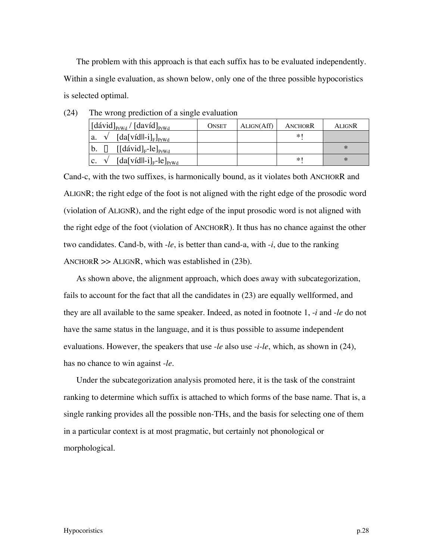The problem with this approach is that each suffix has to be evaluated independently. Within a single evaluation, as shown below, only one of the three possible hypocoristics is selected optimal.

| $\left[\text{dávid}\right]_{\text{PrWd}} / \left[\text{davíd}\right]_{\text{PrWd}}$ | <b>ONSET</b> | ALIGN(Aff) | ANCHORR | ALIGNR |
|-------------------------------------------------------------------------------------|--------------|------------|---------|--------|
| $[da[vid]]_{\text{F}}]_{\text{PrWd}}$<br>a.                                         |              |            | $*$     |        |
| $\mathbb{R}$ [[dávid] <sub>F</sub> -le] <sub>PrWd</sub><br>$b_{\cdot}$              |              |            |         | $\ast$ |
| $[da[vid]]_{F}$ -le $]_{PrWd}$                                                      |              |            | $*$     | $\ast$ |

| (24) | The wrong prediction of a single evaluation |  |  |
|------|---------------------------------------------|--|--|
|      |                                             |  |  |

Cand-c, with the two suffixes, is harmonically bound, as it violates both ANCHORR and ALIGNR; the right edge of the foot is not aligned with the right edge of the prosodic word (violation of ALIGNR), and the right edge of the input prosodic word is not aligned with the right edge of the foot (violation of ANCHORR). It thus has no chance against the other two candidates. Cand-b, with -*le*, is better than cand-a, with -*i*, due to the ranking ANCHOR $R \gg$  ALIGN $R$ , which was established in (23b).

As shown above, the alignment approach, which does away with subcategorization, fails to account for the fact that all the candidates in (23) are equally wellformed, and they are all available to the same speaker. Indeed, as noted in footnote 1, -*i* and -*le* do not have the same status in the language, and it is thus possible to assume independent evaluations. However, the speakers that use -*le* also use -*i*-*le*, which, as shown in (24), has no chance to win against -*le*.

Under the subcategorization analysis promoted here, it is the task of the constraint ranking to determine which suffix is attached to which forms of the base name. That is, a single ranking provides all the possible non-THs, and the basis for selecting one of them in a particular context is at most pragmatic, but certainly not phonological or morphological.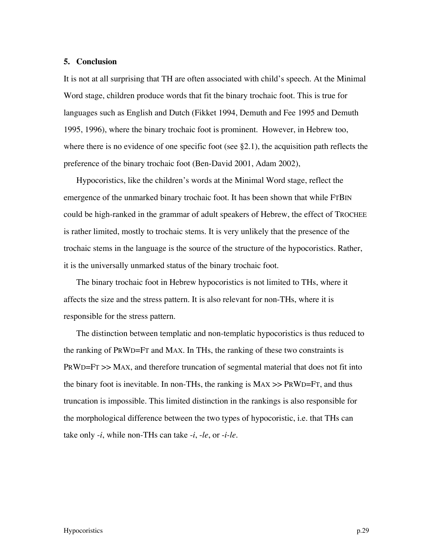## **5. Conclusion**

It is not at all surprising that TH are often associated with child's speech. At the Minimal Word stage, children produce words that fit the binary trochaic foot. This is true for languages such as English and Dutch (Fikket 1994, Demuth and Fee 1995 and Demuth 1995, 1996), where the binary trochaic foot is prominent. However, in Hebrew too, where there is no evidence of one specific foot (see  $\S 2.1$ ), the acquisition path reflects the preference of the binary trochaic foot (Ben-David 2001, Adam 2002),

Hypocoristics, like the children's words at the Minimal Word stage, reflect the emergence of the unmarked binary trochaic foot. It has been shown that while FTBIN could be high-ranked in the grammar of adult speakers of Hebrew, the effect of TROCHEE is rather limited, mostly to trochaic stems. It is very unlikely that the presence of the trochaic stems in the language is the source of the structure of the hypocoristics. Rather, it is the universally unmarked status of the binary trochaic foot.

The binary trochaic foot in Hebrew hypocoristics is not limited to THs, where it affects the size and the stress pattern. It is also relevant for non-THs, where it is responsible for the stress pattern.

The distinction between templatic and non-templatic hypocoristics is thus reduced to the ranking of PRWD=FT and MAX. In THs, the ranking of these two constraints is PRWD=FT >> MAX, and therefore truncation of segmental material that does not fit into the binary foot is inevitable. In non-THs, the ranking is  $MAX \gg PRWD=FT$ , and thus truncation is impossible. This limited distinction in the rankings is also responsible for the morphological difference between the two types of hypocoristic, i.e. that THs can take only -*i*, while non-THs can take -*i*, -*le*, or -*i-le*.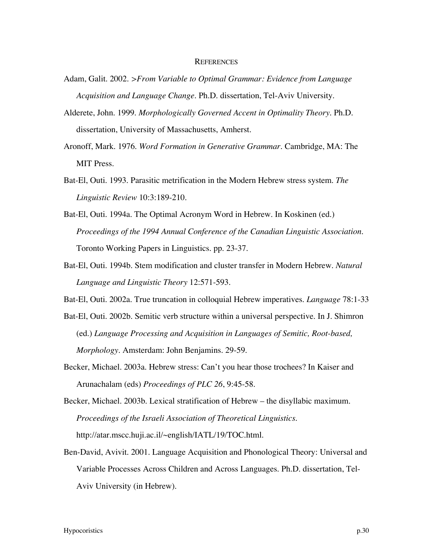## **REFERENCES**

- Adam, Galit. 2002. *>From Variable to Optimal Grammar: Evidence from Language Acquisition and Language Change*. Ph.D. dissertation, Tel-Aviv University.
- Alderete, John. 1999. *Morphologically Governed Accent in Optimality Theory*. Ph.D. dissertation, University of Massachusetts, Amherst.
- Aronoff, Mark. 1976. *Word Formation in Generative Grammar*. Cambridge, MA: The MIT Press.
- Bat-El, Outi. 1993. Parasitic metrification in the Modern Hebrew stress system. *The Linguistic Review* 10:3:189-210.
- Bat-El, Outi. 1994a. The Optimal Acronym Word in Hebrew. In Koskinen (ed.) *Proceedings of the 1994 Annual Conference of the Canadian Linguistic Association*. Toronto Working Papers in Linguistics. pp. 23-37.
- Bat-El, Outi. 1994b. Stem modification and cluster transfer in Modern Hebrew. *Natural Language and Linguistic Theory* 12:571-593.
- Bat-El, Outi. 2002a. True truncation in colloquial Hebrew imperatives. *Language* 78:1-33
- Bat-El, Outi. 2002b. Semitic verb structure within a universal perspective. In J. Shimron (ed.) *Language Processing and Acquisition in Languages of Semitic, Root-based, Morphology*. Amsterdam: John Benjamins. 29-59.
- Becker, Michael. 2003a. Hebrew stress: Can't you hear those trochees? In Kaiser and Arunachalam (eds) *Proceedings of PLC 26*, 9:45-58.
- Becker, Michael. 2003b. Lexical stratification of Hebrew the disyllabic maximum. *Proceedings of the Israeli Association of Theoretical Linguistics*. http://atar.mscc.huji.ac.il/~english/IATL/19/TOC.html.
- Ben-David, Avivit. 2001. Language Acquisition and Phonological Theory: Universal and Variable Processes Across Children and Across Languages. Ph.D. dissertation, Tel-Aviv University (in Hebrew).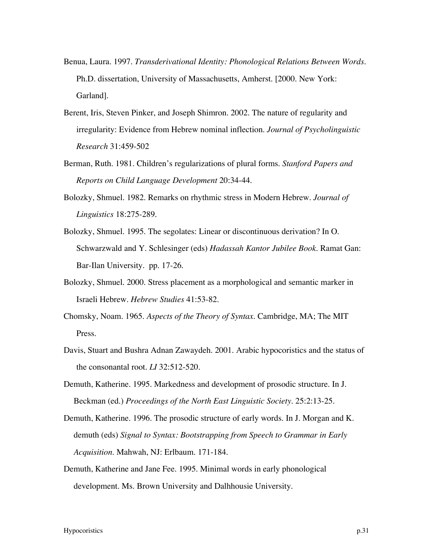- Benua, Laura. 1997. *Transderivational Identity: Phonological Relations Between Words*. Ph.D. dissertation, University of Massachusetts, Amherst. [2000. New York: Garland].
- Berent, Iris, Steven Pinker, and Joseph Shimron. 2002. The nature of regularity and irregularity: Evidence from Hebrew nominal inflection. *Journal of Psycholinguistic Research* 31:459-502
- Berman, Ruth. 1981. Children's regularizations of plural forms. *Stanford Papers and Reports on Child Language Development* 20:34-44.
- Bolozky, Shmuel. 1982. Remarks on rhythmic stress in Modern Hebrew. *Journal of Linguistics* 18:275-289.
- Bolozky, Shmuel. 1995. The segolates: Linear or discontinuous derivation? In O. Schwarzwald and Y. Schlesinger (eds) *Hadassah Kantor Jubilee Book*. Ramat Gan: Bar-Ilan University. pp. 17-26.
- Bolozky, Shmuel. 2000. Stress placement as a morphological and semantic marker in Israeli Hebrew. *Hebrew Studies* 41:53-82.
- Chomsky, Noam. 1965. *Aspects of the Theory of Syntax*. Cambridge, MA; The MIT Press.
- Davis, Stuart and Bushra Adnan Zawaydeh. 2001. Arabic hypocoristics and the status of the consonantal root. *LI* 32:512-520.
- Demuth, Katherine. 1995. Markedness and development of prosodic structure. In J. Beckman (ed.) *Proceedings of the North East Linguistic Society*. 25:2:13-25.
- Demuth, Katherine. 1996. The prosodic structure of early words. In J. Morgan and K. demuth (eds) *Signal to Syntax: Bootstrapping from Speech to Grammar in Early Acquisition*. Mahwah, NJ: Erlbaum. 171-184.
- Demuth, Katherine and Jane Fee. 1995. Minimal words in early phonological development. Ms. Brown University and Dalhhousie University.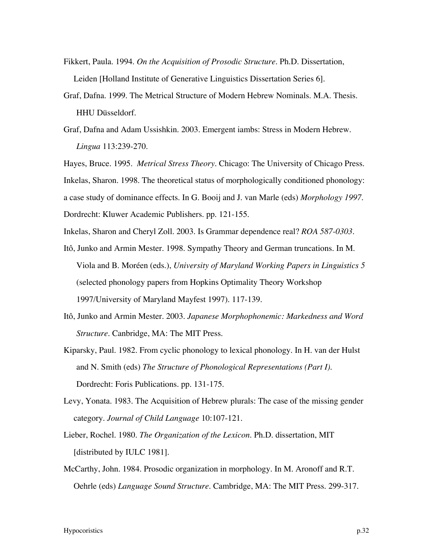- Fikkert, Paula. 1994. *On the Acquisition of Prosodic Structure*. Ph.D. Dissertation, Leiden [Holland Institute of Generative Linguistics Dissertation Series 6].
- Graf, Dafna. 1999. The Metrical Structure of Modern Hebrew Nominals. M.A. Thesis. HHU Düsseldorf.
- Graf, Dafna and Adam Ussishkin. 2003. Emergent iambs: Stress in Modern Hebrew. *Lingua* 113:239-270.

Hayes, Bruce. 1995. *Metrical Stress Theory*. Chicago: The University of Chicago Press. Inkelas, Sharon. 1998. The theoretical status of morphologically conditioned phonology: a case study of dominance effects. In G. Booij and J. van Marle (eds) *Morphology 1997*. Dordrecht: Kluwer Academic Publishers. pp. 121-155.

Inkelas, Sharon and Cheryl Zoll. 2003. Is Grammar dependence real? *ROA 587-0303*.

- Itô, Junko and Armin Mester. 1998. Sympathy Theory and German truncations. In M. Viola and B. Moréen (eds.), *University of Maryland Working Papers in Linguistics 5* (selected phonology papers from Hopkins Optimality Theory Workshop 1997/University of Maryland Mayfest 1997). 117-139.
- Itô, Junko and Armin Mester. 2003. *Japanese Morphophonemic: Markedness and Word Structure*. Canbridge, MA: The MIT Press.
- Kiparsky, Paul. 1982. From cyclic phonology to lexical phonology. In H. van der Hulst and N. Smith (eds) *The Structure of Phonological Representations (Part I)*. Dordrecht: Foris Publications. pp. 131-175.
- Levy, Yonata. 1983. The Acquisition of Hebrew plurals: The case of the missing gender category. *Journal of Child Language* 10:107-121.
- Lieber, Rochel. 1980. *The Organization of the Lexicon*. Ph.D. dissertation, MIT [distributed by IULC 1981].
- McCarthy, John. 1984. Prosodic organization in morphology. In M. Aronoff and R.T. Oehrle (eds) *Language Sound Structure*. Cambridge, MA: The MIT Press. 299-317.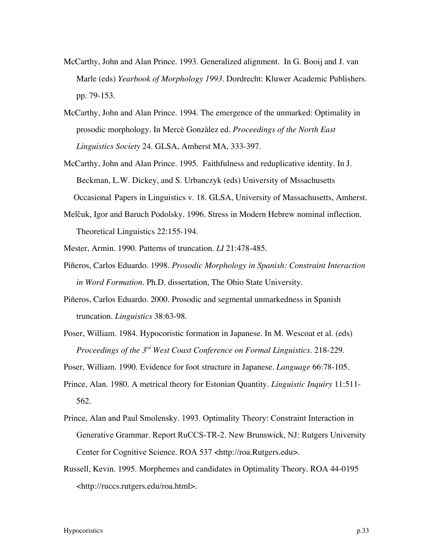- McCarthy, John and Alan Prince. 1993. Generalized alignment. In G. Booij and J. van Marle (eds) *Yearbook of Morphology 1993*. Dordrecht: Kluwer Academic Publishers. pp. 79-153.
- McCarthy, John and Alan Prince. 1994. The emergence of the unmarked: Optimality in prosodic morphology. In Mercè Gonzàlez ed. *Proceedings of the North East Linguistics Society* 24. GLSA, Amherst MA, 333-397.
- McCarthy, John and Alan Prince. 1995. Faithfulness and reduplicative identity. In J. Beckman, L.W. Dickey, and S. Urbanczyk (eds) University of Mssachusetts Occasional Papers in Linguistics v. 18. GLSA, University of Massachusetts, Amherst.
- Melčuk, Igor and Baruch Podolsky. 1996. Stress in Modern Hebrew nominal inflection. Theoretical Linguistics 22:155-194.
- Mester, Armin. 1990. Patterns of truncation. *LI* 21:478-485.
- Piñeros, Carlos Eduardo. 1998. *Prosodic Morphology in Spanish: Constraint Interaction in Word Formation*. Ph.D. dissertation, The Ohio State University.
- Piñeros, Carlos Eduardo. 2000. Prosodic and segmental unmarkedness in Spanish truncation. *Linguistics* 38:63-98.
- Poser, William. 1984. Hypocoristic formation in Japanese. In M. Wescoat et al. (eds) *Proceedings of the 3rd West Coast Conference on Formal Linguistics*. 218-229.
- Poser, William. 1990. Evidence for foot structure in Japanese. *Language* 66:78-105.
- Prince, Alan. 1980. A metrical theory for Estonian Quantity. *Linguistic Inquiry* 11:511- 562.
- Prince, Alan and Paul Smolensky. 1993. Optimality Theory: Constraint Interaction in Generative Grammar. Report RuCCS-TR-2. New Brunswick, NJ: Rutgers University Center for Cognitive Science. ROA 537 <http://roa.Rutgers.edu>.
- Russell, Kevin. 1995. Morphemes and candidates in Optimality Theory. ROA 44-0195 <http://ruccs.rutgers.edu/roa.html>.